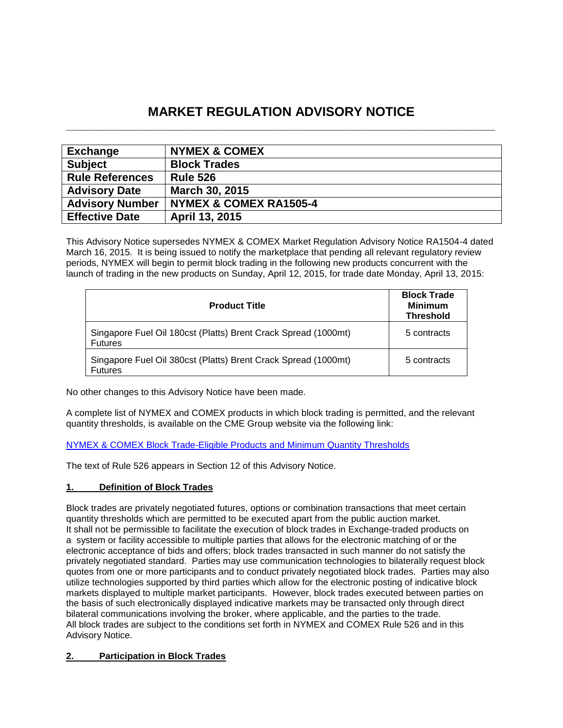# **MARKET REGULATION ADVISORY NOTICE \_\_\_\_\_\_\_\_\_\_\_\_\_\_\_\_\_\_\_\_\_\_\_\_\_\_\_\_\_\_\_\_\_\_\_\_\_\_\_\_\_\_\_\_\_\_\_\_\_\_\_\_\_\_\_\_\_\_\_\_\_\_\_\_\_\_\_\_\_\_**

| <b>Exchange</b>        | <b>NYMEX &amp; COMEX</b> |
|------------------------|--------------------------|
| <b>Subject</b>         | <b>Block Trades</b>      |
| <b>Rule References</b> | <b>Rule 526</b>          |
| <b>Advisory Date</b>   | March 30, 2015           |
| <b>Advisory Number</b> | NYMEX & COMEX RA1505-4   |
| <b>Effective Date</b>  | April 13, 2015           |

This Advisory Notice supersedes NYMEX & COMEX Market Regulation Advisory Notice RA1504-4 dated March 16, 2015. It is being issued to notify the marketplace that pending all relevant regulatory review periods, NYMEX will begin to permit block trading in the following new products concurrent with the launch of trading in the new products on Sunday, April 12, 2015, for trade date Monday, April 13, 2015:

| <b>Product Title</b>                                                             | <b>Block Trade</b><br><b>Minimum</b><br><b>Threshold</b> |
|----------------------------------------------------------------------------------|----------------------------------------------------------|
| Singapore Fuel Oil 180cst (Platts) Brent Crack Spread (1000mt)<br><b>Futures</b> | 5 contracts                                              |
| Singapore Fuel Oil 380cst (Platts) Brent Crack Spread (1000mt)<br><b>Futures</b> | 5 contracts                                              |

No other changes to this Advisory Notice have been made.

A complete list of NYMEX and COMEX products in which block trading is permitted, and the relevant quantity thresholds, is available on the CME Group website via the following link:

# [NYMEX & COMEX Block Trade-Eligible Products and Minimum Quantity Thresholds](http://www.cmegroup.com/clearing/trading-practices/NYMEX-COMEXblock-trade.html)

The text of Rule 526 appears in Section 12 of this Advisory Notice.

# **1. Definition of Block Trades**

Block trades are privately negotiated futures, options or combination transactions that meet certain quantity thresholds which are permitted to be executed apart from the public auction market. It shall not be permissible to facilitate the execution of block trades in Exchange-traded products on a system or facility accessible to multiple parties that allows for the electronic matching of or the electronic acceptance of bids and offers; block trades transacted in such manner do not satisfy the privately negotiated standard. Parties may use communication technologies to bilaterally request block quotes from one or more participants and to conduct privately negotiated block trades. Parties may also utilize technologies supported by third parties which allow for the electronic posting of indicative block markets displayed to multiple market participants. However, block trades executed between parties on the basis of such electronically displayed indicative markets may be transacted only through direct bilateral communications involving the broker, where applicable, and the parties to the trade. All block trades are subject to the conditions set forth in NYMEX and COMEX Rule 526 and in this Advisory Notice.

# **2. Participation in Block Trades**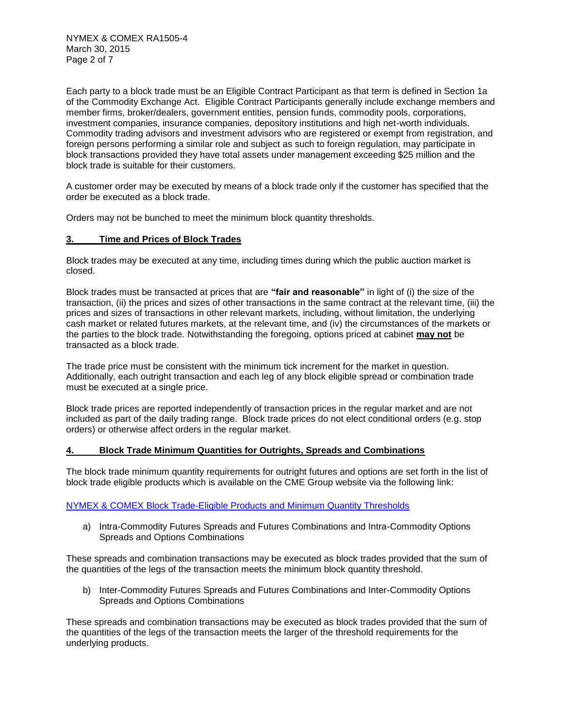Each party to a block trade must be an Eligible Contract Participant as that term is defined in Section 1a of the Commodity Exchange Act. Eligible Contract Participants generally include exchange members and member firms, broker/dealers, government entities, pension funds, commodity pools, corporations, investment companies, insurance companies, depository institutions and high net-worth individuals. Commodity trading advisors and investment advisors who are registered or exempt from registration, and foreign persons performing a similar role and subject as such to foreign regulation, may participate in block transactions provided they have total assets under management exceeding \$25 million and the block trade is suitable for their customers.

A customer order may be executed by means of a block trade only if the customer has specified that the order be executed as a block trade.

Orders may not be bunched to meet the minimum block quantity thresholds.

## **3. Time and Prices of Block Trades**

Block trades may be executed at any time, including times during which the public auction market is closed.

Block trades must be transacted at prices that are **"fair and reasonable"** in light of (i) the size of the transaction, (ii) the prices and sizes of other transactions in the same contract at the relevant time, (iii) the prices and sizes of transactions in other relevant markets, including, without limitation, the underlying cash market or related futures markets, at the relevant time, and (iv) the circumstances of the markets or the parties to the block trade. Notwithstanding the foregoing, options priced at cabinet **may not** be transacted as a block trade.

The trade price must be consistent with the minimum tick increment for the market in question. Additionally, each outright transaction and each leg of any block eligible spread or combination trade must be executed at a single price.

Block trade prices are reported independently of transaction prices in the regular market and are not included as part of the daily trading range. Block trade prices do not elect conditional orders (e.g. stop orders) or otherwise affect orders in the regular market.

#### **4. Block Trade Minimum Quantities for Outrights, Spreads and Combinations**

The block trade minimum quantity requirements for outright futures and options are set forth in the list of block trade eligible products which is available on the CME Group website via the following link:

## [NYMEX & COMEX Block Trade-Eligible Products and Minimum Quantity Thresholds](http://www.cmegroup.com/clearing/trading-practices/NYMEX-COMEXblock-trade.html)

a) Intra-Commodity Futures Spreads and Futures Combinations and Intra-Commodity Options Spreads and Options Combinations

These spreads and combination transactions may be executed as block trades provided that the sum of the quantities of the legs of the transaction meets the minimum block quantity threshold.

b) Inter-Commodity Futures Spreads and Futures Combinations and Inter-Commodity Options Spreads and Options Combinations

These spreads and combination transactions may be executed as block trades provided that the sum of the quantities of the legs of the transaction meets the larger of the threshold requirements for the underlying products.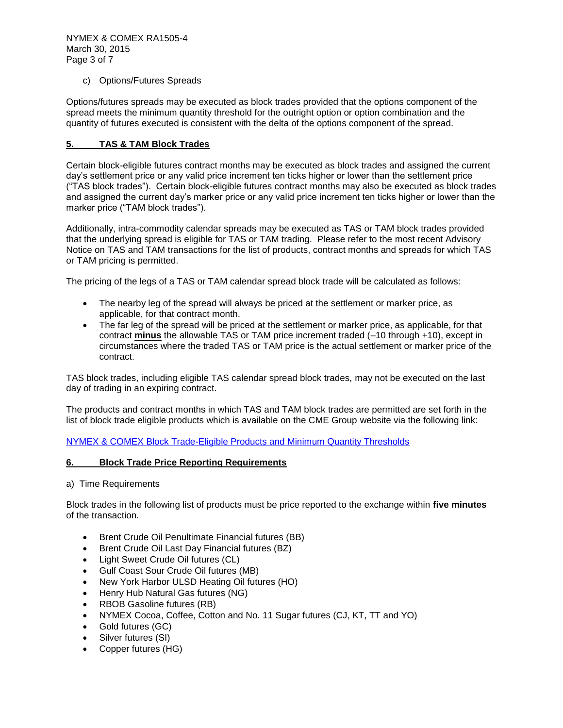NYMEX & COMEX RA1505-4 March 30, 2015 Page 3 of 7

## c) Options/Futures Spreads

Options/futures spreads may be executed as block trades provided that the options component of the spread meets the minimum quantity threshold for the outright option or option combination and the quantity of futures executed is consistent with the delta of the options component of the spread.

# **5. TAS & TAM Block Trades**

Certain block-eligible futures contract months may be executed as block trades and assigned the current day's settlement price or any valid price increment ten ticks higher or lower than the settlement price ("TAS block trades"). Certain block-eligible futures contract months may also be executed as block trades and assigned the current day's marker price or any valid price increment ten ticks higher or lower than the marker price ("TAM block trades").

Additionally, intra-commodity calendar spreads may be executed as TAS or TAM block trades provided that the underlying spread is eligible for TAS or TAM trading. Please refer to the most recent Advisory Notice on TAS and TAM transactions for the list of products, contract months and spreads for which TAS or TAM pricing is permitted.

The pricing of the legs of a TAS or TAM calendar spread block trade will be calculated as follows:

- The nearby leg of the spread will always be priced at the settlement or marker price, as applicable, for that contract month.
- The far leg of the spread will be priced at the settlement or marker price, as applicable, for that contract **minus** the allowable TAS or TAM price increment traded (–10 through +10), except in circumstances where the traded TAS or TAM price is the actual settlement or marker price of the contract.

TAS block trades, including eligible TAS calendar spread block trades, may not be executed on the last day of trading in an expiring contract.

The products and contract months in which TAS and TAM block trades are permitted are set forth in the list of block trade eligible products which is available on the CME Group website via the following link:

[NYMEX & COMEX Block Trade-Eligible Products and Minimum Quantity Thresholds](http://www.cmegroup.com/clearing/trading-practices/NYMEX-COMEXblock-trade.html)

#### **6. Block Trade Price Reporting Requirements**

#### a) Time Requirements

Block trades in the following list of products must be price reported to the exchange within **five minutes** of the transaction.

- Brent Crude Oil Penultimate Financial futures (BB)
- Brent Crude Oil Last Day Financial futures (BZ)
- Light Sweet Crude Oil futures (CL)
- Gulf Coast Sour Crude Oil futures (MB)
- New York Harbor ULSD Heating Oil futures (HO)
- Henry Hub Natural Gas futures (NG)
- RBOB Gasoline futures (RB)
- NYMEX Cocoa, Coffee, Cotton and No. 11 Sugar futures (CJ, KT, TT and YO)
- Gold futures (GC)
- Silver futures (SI)
- Copper futures (HG)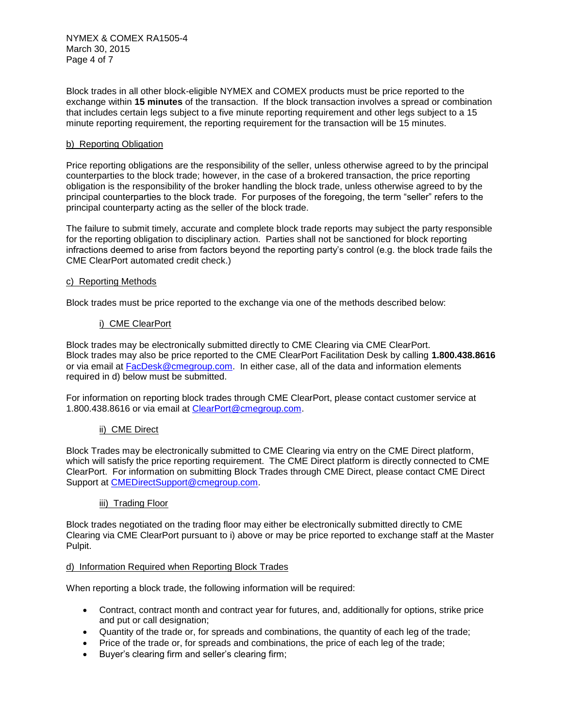NYMEX & COMEX RA1505-4 March 30, 2015 Page 4 of 7

Block trades in all other block-eligible NYMEX and COMEX products must be price reported to the exchange within **15 minutes** of the transaction. If the block transaction involves a spread or combination that includes certain legs subject to a five minute reporting requirement and other legs subject to a 15 minute reporting requirement, the reporting requirement for the transaction will be 15 minutes.

## b) Reporting Obligation

Price reporting obligations are the responsibility of the seller, unless otherwise agreed to by the principal counterparties to the block trade; however, in the case of a brokered transaction, the price reporting obligation is the responsibility of the broker handling the block trade, unless otherwise agreed to by the principal counterparties to the block trade. For purposes of the foregoing, the term "seller" refers to the principal counterparty acting as the seller of the block trade.

The failure to submit timely, accurate and complete block trade reports may subject the party responsible for the reporting obligation to disciplinary action. Parties shall not be sanctioned for block reporting infractions deemed to arise from factors beyond the reporting party's control (e.g. the block trade fails the CME ClearPort automated credit check.)

#### c) Reporting Methods

Block trades must be price reported to the exchange via one of the methods described below:

#### i) CME ClearPort

Block trades may be electronically submitted directly to CME Clearing via CME ClearPort. Block trades may also be price reported to the CME ClearPort Facilitation Desk by calling **1.800.438.8616**  or via email at [FacDesk@cmegroup.com.](mailto:FacDesk@cmegroup.com) In either case, all of the data and information elements required in d) below must be submitted.

For information on reporting block trades through CME ClearPort, please contact customer service at 1.800.438.8616 or via email at [ClearPort@cmegroup.com.](mailto:ClearPort@cmegroup.com)

#### ii) CME Direct

Block Trades may be electronically submitted to CME Clearing via entry on the CME Direct platform, which will satisfy the price reporting requirement. The CME Direct platform is directly connected to CME ClearPort. For information on submitting Block Trades through CME Direct, please contact CME Direct Support at [CMEDirectSupport@cmegroup.com.](mailto:CMEDirectSupport@cmegroup.com)

#### iii) Trading Floor

Block trades negotiated on the trading floor may either be electronically submitted directly to CME Clearing via CME ClearPort pursuant to i) above or may be price reported to exchange staff at the Master Pulpit.

#### d) Information Required when Reporting Block Trades

When reporting a block trade, the following information will be required:

- Contract, contract month and contract year for futures, and, additionally for options, strike price and put or call designation;
- Quantity of the trade or, for spreads and combinations, the quantity of each leg of the trade;
- Price of the trade or, for spreads and combinations, the price of each leg of the trade;
- Buyer's clearing firm and seller's clearing firm;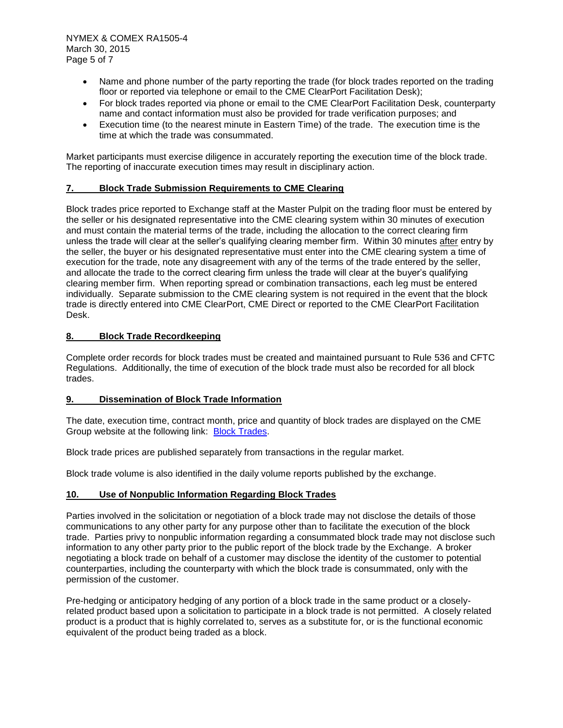- Name and phone number of the party reporting the trade (for block trades reported on the trading floor or reported via telephone or email to the CME ClearPort Facilitation Desk);
- For block trades reported via phone or email to the CME ClearPort Facilitation Desk, counterparty name and contact information must also be provided for trade verification purposes; and
- Execution time (to the nearest minute in Eastern Time) of the trade. The execution time is the time at which the trade was consummated.

Market participants must exercise diligence in accurately reporting the execution time of the block trade. The reporting of inaccurate execution times may result in disciplinary action.

## **7. Block Trade Submission Requirements to CME Clearing**

Block trades price reported to Exchange staff at the Master Pulpit on the trading floor must be entered by the seller or his designated representative into the CME clearing system within 30 minutes of execution and must contain the material terms of the trade, including the allocation to the correct clearing firm unless the trade will clear at the seller's qualifying clearing member firm. Within 30 minutes after entry by the seller, the buyer or his designated representative must enter into the CME clearing system a time of execution for the trade, note any disagreement with any of the terms of the trade entered by the seller, and allocate the trade to the correct clearing firm unless the trade will clear at the buyer's qualifying clearing member firm. When reporting spread or combination transactions, each leg must be entered individually. Separate submission to the CME clearing system is not required in the event that the block trade is directly entered into CME ClearPort, CME Direct or reported to the CME ClearPort Facilitation Desk.

#### **8. Block Trade Recordkeeping**

Complete order records for block trades must be created and maintained pursuant to Rule 536 and CFTC Regulations. Additionally, the time of execution of the block trade must also be recorded for all block trades.

## **9. Dissemination of Block Trade Information**

The date, execution time, contract month, price and quantity of block trades are displayed on the CME Group website at the following link: [Block Trades.](http://www.cmegroup.com/tools-information/blocktrades.html)

Block trade prices are published separately from transactions in the regular market.

Block trade volume is also identified in the daily volume reports published by the exchange.

# **10. Use of Nonpublic Information Regarding Block Trades**

Parties involved in the solicitation or negotiation of a block trade may not disclose the details of those communications to any other party for any purpose other than to facilitate the execution of the block trade. Parties privy to nonpublic information regarding a consummated block trade may not disclose such information to any other party prior to the public report of the block trade by the Exchange. A broker negotiating a block trade on behalf of a customer may disclose the identity of the customer to potential counterparties, including the counterparty with which the block trade is consummated, only with the permission of the customer.

Pre-hedging or anticipatory hedging of any portion of a block trade in the same product or a closelyrelated product based upon a solicitation to participate in a block trade is not permitted. A closely related product is a product that is highly correlated to, serves as a substitute for, or is the functional economic equivalent of the product being traded as a block.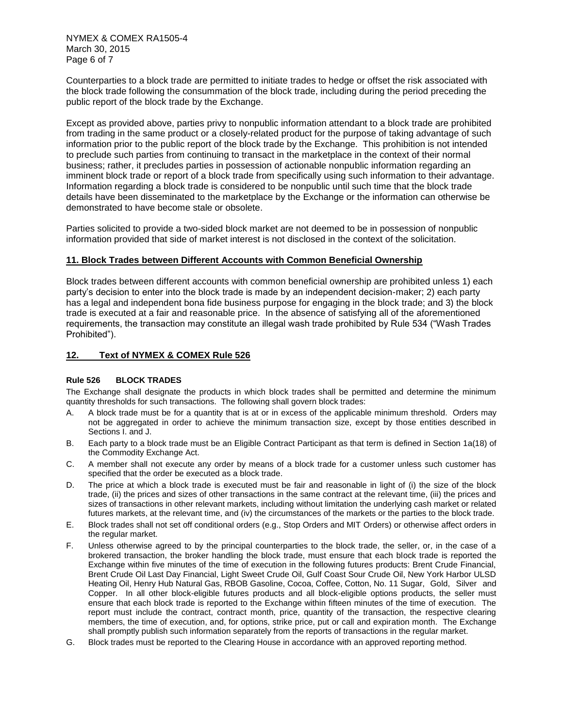Counterparties to a block trade are permitted to initiate trades to hedge or offset the risk associated with the block trade following the consummation of the block trade, including during the period preceding the public report of the block trade by the Exchange.

Except as provided above, parties privy to nonpublic information attendant to a block trade are prohibited from trading in the same product or a closely-related product for the purpose of taking advantage of such information prior to the public report of the block trade by the Exchange. This prohibition is not intended to preclude such parties from continuing to transact in the marketplace in the context of their normal business; rather, it precludes parties in possession of actionable nonpublic information regarding an imminent block trade or report of a block trade from specifically using such information to their advantage. Information regarding a block trade is considered to be nonpublic until such time that the block trade details have been disseminated to the marketplace by the Exchange or the information can otherwise be demonstrated to have become stale or obsolete.

Parties solicited to provide a two-sided block market are not deemed to be in possession of nonpublic information provided that side of market interest is not disclosed in the context of the solicitation.

#### **11. Block Trades between Different Accounts with Common Beneficial Ownership**

Block trades between different accounts with common beneficial ownership are prohibited unless 1) each party's decision to enter into the block trade is made by an independent decision-maker; 2) each party has a legal and independent bona fide business purpose for engaging in the block trade; and 3) the block trade is executed at a fair and reasonable price. In the absence of satisfying all of the aforementioned requirements, the transaction may constitute an illegal wash trade prohibited by Rule 534 ("Wash Trades Prohibited").

#### **12. Text of NYMEX & COMEX Rule 526**

#### **Rule 526 BLOCK TRADES**

The Exchange shall designate the products in which block trades shall be permitted and determine the minimum quantity thresholds for such transactions. The following shall govern block trades:

- A. A block trade must be for a quantity that is at or in excess of the applicable minimum threshold. Orders may not be aggregated in order to achieve the minimum transaction size, except by those entities described in Sections I. and J.
- B. Each party to a block trade must be an Eligible Contract Participant as that term is defined in Section 1a(18) of the Commodity Exchange Act.
- C. A member shall not execute any order by means of a block trade for a customer unless such customer has specified that the order be executed as a block trade.
- D. The price at which a block trade is executed must be fair and reasonable in light of (i) the size of the block trade, (ii) the prices and sizes of other transactions in the same contract at the relevant time, (iii) the prices and sizes of transactions in other relevant markets, including without limitation the underlying cash market or related futures markets, at the relevant time, and (iv) the circumstances of the markets or the parties to the block trade.
- E. Block trades shall not set off conditional orders (e.g., Stop Orders and MIT Orders) or otherwise affect orders in the regular market.
- F. Unless otherwise agreed to by the principal counterparties to the block trade, the seller, or, in the case of a brokered transaction, the broker handling the block trade, must ensure that each block trade is reported the Exchange within five minutes of the time of execution in the following futures products: Brent Crude Financial, Brent Crude Oil Last Day Financial, Light Sweet Crude Oil, Gulf Coast Sour Crude Oil, New York Harbor ULSD Heating Oil, Henry Hub Natural Gas, RBOB Gasoline, Cocoa, Coffee, Cotton, No. 11 Sugar, Gold, Silver and Copper. In all other block-eligible futures products and all block-eligible options products, the seller must ensure that each block trade is reported to the Exchange within fifteen minutes of the time of execution. The report must include the contract, contract month, price, quantity of the transaction, the respective clearing members, the time of execution, and, for options, strike price, put or call and expiration month. The Exchange shall promptly publish such information separately from the reports of transactions in the regular market.
- G. Block trades must be reported to the Clearing House in accordance with an approved reporting method.